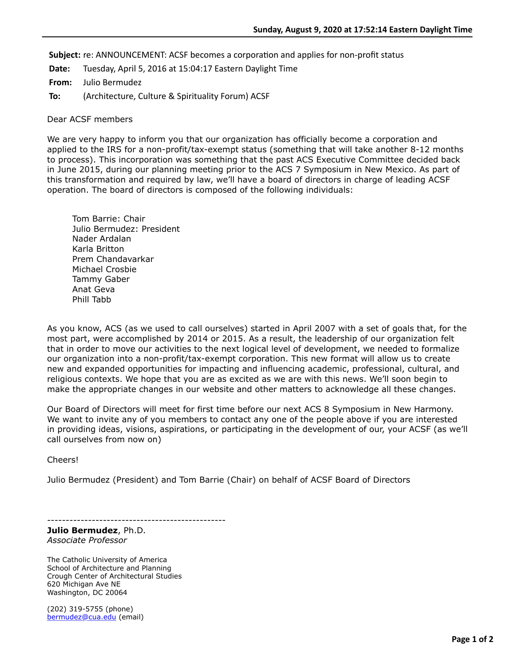**Subject:** re: ANNOUNCEMENT: ACSF becomes a corporation and applies for non-profit status

**Date:** Tuesday, April 5, 2016 at 15:04:17 Eastern Daylight Time

**From:** Julio Bermudez

**To:** (Architecture, Culture & Spirituality Forum) ACSF

## Dear ACSF members

We are very happy to inform you that our organization has officially become a corporation and applied to the IRS for a non-profit/tax-exempt status (something that will take another 8-12 months to process). This incorporation was something that the past ACS Executive Committee decided back in June 2015, during our planning meeting prior to the ACS 7 Symposium in New Mexico. As part of this transformation and required by law, we'll have a board of directors in charge of leading ACSF operation. The board of directors is composed of the following individuals:

Tom Barrie: Chair Julio Bermudez: President Nader Ardalan Karla Britton Prem Chandavarkar Michael Crosbie Tammy Gaber Anat Geva Phill Tabb

As you know, ACS (as we used to call ourselves) started in April 2007 with a set of goals that, for the most part, were accomplished by 2014 or 2015. As a result, the leadership of our organization felt that in order to move our activities to the next logical level of development, we needed to formalize our organization into a non-profit/tax-exempt corporation. This new format will allow us to create new and expanded opportunities for impacting and influencing academic, professional, cultural, and religious contexts. We hope that you are as excited as we are with this news. We'll soon begin to make the appropriate changes in our website and other matters to acknowledge all these changes.

Our Board of Directors will meet for first time before our next ACS 8 Symposium in New Harmony. We want to invite any of you members to contact any one of the people above if you are interested in providing ideas, visions, aspirations, or participating in the development of our, your ACSF (as we'll call ourselves from now on)

Cheers!

Julio Bermudez (President) and Tom Barrie (Chair) on behalf of ACSF Board of Directors

------------------------------------------------

**Julio Bermudez**, Ph.D. *Associate Professor*

The Catholic University of America School of Architecture and Planning Crough Center of Architectural Studies 620 Michigan Ave NE Washington, DC 20064

(202) 319-5755 (phone) [bermudez@cua.edu](applewebdata://E9C8CE2E-E0E8-4DFF-8133-191C250E9275/bermudez@cua.edu) (email)